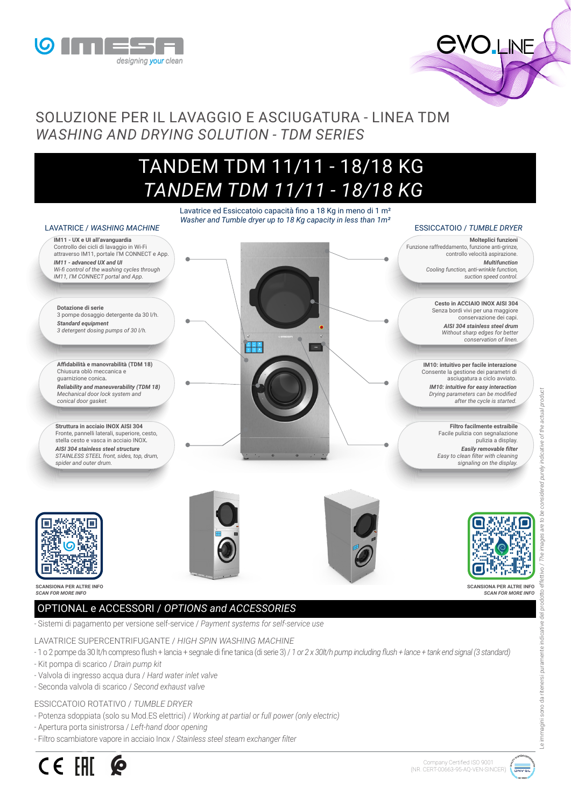



## SOLUZIONE PER IL LAVAGGIO E ASCIUGATURA - LINEA TDM *WASHING AND DRYING SOLUTION - TDM SERIES*

# TANDEM TDM 11/11 - 18/18 KG  *TANDEM TDM 11/11 - 18/18 KG*

Lavatrice ed Essiccatoio capacità fino a 18 Kg in meno di 1 m<sup>2</sup> *Washer and Tumble dryer up to 18 Kg capacity in less than 1m²*

#### LAVATRICE / *WASHING MACHINE* ESSICCATOIO / *TUMBLE DRYER* **IM11 - UX e UI all'avanguardia Molteplici funzioni** Controllo dei cicli di lavaggio in Wi-Fi Funzione raffreddamento, funzione anti-grinze, attraverso IM11, portale I'M CONNECT e App. controllo velocità aspirazione. *IM11 - advanced UX and UI Multifunction Cooling function, anti-wrinkle function, Wi-fi control of the washing cycles through IM11, I'M CONNECT portal and App. suction speed control.*  **Cesto in ACCIAIO INOX AISI 304 Dotazione di serie** Senza bordi vivi per una maggiore 3 pompe dosaggio detergente da 30 l/h. conservazione dei capi. *Standard equipment AISI 304 stainless steel drum 3 detergent dosing pumps of 30 l/h. Without sharp edges for better conservation of linen.*  $\pm$ **Affidabilità e manovrabilità (TDM 18) IM10: intuitivo per facile interazione**  Chiusura oblò meccanica e Consente la gestione dei parametri di guarnizione conica*.* asciugatura a ciclo avviato. *Reliability and maneuverability (TDM 18) IM10: intuitive for easy interaction Drying parameters can be modified Mechanical door lock system and conical door gasket. after the cycle is started.* **Struttura in acciaio INOX AISI 304 Filtro facilmente estraibile** Fronte, pannelli laterali, superiore, cesto, Facile pulizia con segnalazione stella cesto e vasca in acciaio INOX*.* pulizia a display. *AISI 304 stainless steel structure Easily removable filter STAINLESS STEEL front, sides, top, drum, Easy to clean filter with cleaning spider and outer drum. signaling on the display.***SCANSIONA PER ALTRE INFO SCANSIONA PER ALTRE INFO** *SCAN FOR MORE INFO SCAN FOR MORE INFO*

## OPTIONAL e ACCESSORI / *OPTIONS and ACCESSORIES*

- Sistemi di pagamento per versione self-service / *Payment systems for self-service use*

LAVATRICE SUPERCENTRIFUGANTE / *HIGH SPIN WASHING MACHINE*

- 1 o 2 pompe da 30 lt/h compreso flush + lancia + segnale di fine tanica (di serie 3) / *1 or 2 x 30lt/h pump including flush + lance + tank end signal (3 standard)*

- Kit pompa di scarico / *Drain pump kit*
- Valvola di ingresso acqua dura / *Hard water inlet valve*
- Seconda valvola di scarico / *Second exhaust valve*

### ESSICCATOIO ROTATIVO / *TUMBLE DRYER*

- Potenza sdoppiata (solo su Mod.ES elettrici) / *Working at partial or full power (only electric)*
- Apertura porta sinistrorsa / *Left-hand door opening*
- Filtro scambiatore vapore in acciaio Inox / *Stainless steel steam exchanger filter*